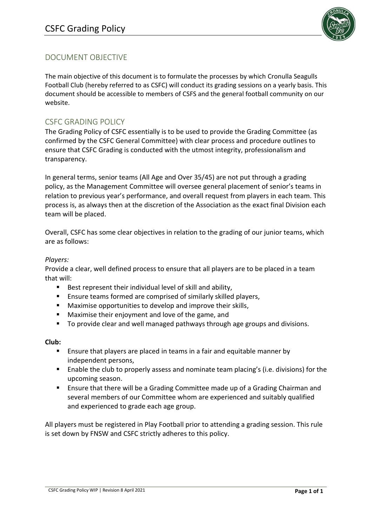

# DOCUMENT OBJECTIVE

The main objective of this document is to formulate the processes by which Cronulla Seagulls Football Club (hereby referred to as CSFC) will conduct its grading sessions on a yearly basis. This document should be accessible to members of CSFS and the general football community on our website.

### CSFC GRADING POLICY

The Grading Policy of CSFC essentially is to be used to provide the Grading Committee (as confirmed by the CSFC General Committee) with clear process and procedure outlines to ensure that CSFC Grading is conducted with the utmost integrity, professionalism and transparency.

In general terms, senior teams (All Age and Over 35/45) are not put through a grading policy, as the Management Committee will oversee general placement of senior's teams in relation to previous year's performance, and overall request from players in each team. This process is, as always then at the discretion of the Association as the exact final Division each team will be placed.

Overall, CSFC has some clear objectives in relation to the grading of our junior teams, which are as follows:

#### *Players:*

Provide a clear, well defined process to ensure that all players are to be placed in a team that will:

- Best represent their individual level of skill and ability,
- Ensure teams formed are comprised of similarly skilled players,
- Maximise opportunities to develop and improve their skills,
- Maximise their enjoyment and love of the game, and
- To provide clear and well managed pathways through age groups and divisions.

#### **Club:**

- Ensure that players are placed in teams in a fair and equitable manner by independent persons,
- Enable the club to properly assess and nominate team placing's (i.e. divisions) for the upcoming season.
- Ensure that there will be a Grading Committee made up of a Grading Chairman and several members of our Committee whom are experienced and suitably qualified and experienced to grade each age group.

All players must be registered in Play Football prior to attending a grading session. This rule is set down by FNSW and CSFC strictly adheres to this policy.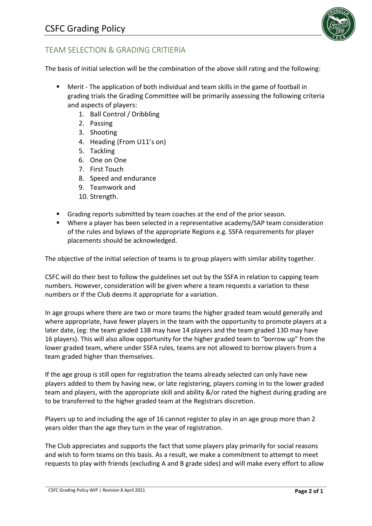

## TEAM SELECTION & GRADING CRITIERIA

The basis of initial selection will be the combination of the above skill rating and the following:

- Merit The application of both individual and team skills in the game of football in grading trials the Grading Committee will be primarily assessing the following criteria and aspects of players:
	- 1. Ball Control / Dribbling
	- 2. Passing
	- 3. Shooting
	- 4. Heading (From U11's on)
	- 5. Tackling
	- 6. One on One
	- 7. First Touch
	- 8. Speed and endurance
	- 9. Teamwork and
	- 10. Strength.
- Grading reports submitted by team coaches at the end of the prior season.
- Where a player has been selected in a representative academy/SAP team consideration of the rules and bylaws of the appropriate Regions e.g. SSFA requirements for player placements should be acknowledged.

The objective of the initial selection of teams is to group players with similar ability together.

CSFC will do their best to follow the guidelines set out by the SSFA in relation to capping team numbers. However, consideration will be given where a team requests a variation to these numbers or if the Club deems it appropriate for a variation.

In age groups where there are two or more teams the higher graded team would generally and where appropriate, have fewer players in the team with the opportunity to promote players at a later date, (eg: the team graded 13B may have 14 players and the team graded 13D may have 16 players). This will also allow opportunity for the higher graded team to "borrow up" from the lower graded team, where under SSFA rules, teams are not allowed to borrow players from a team graded higher than themselves.

If the age group is still open for registration the teams already selected can only have new players added to them by having new, or late registering, players coming in to the lower graded team and players, with the appropriate skill and ability &/or rated the highest during grading are to be transferred to the higher graded team at the Registrars discretion.

Players up to and including the age of 16 cannot register to play in an age group more than 2 years older than the age they turn in the year of registration.

The Club appreciates and supports the fact that some players play primarily for social reasons and wish to form teams on this basis. As a result, we make a commitment to attempt to meet requests to play with friends (excluding A and B grade sides) and will make every effort to allow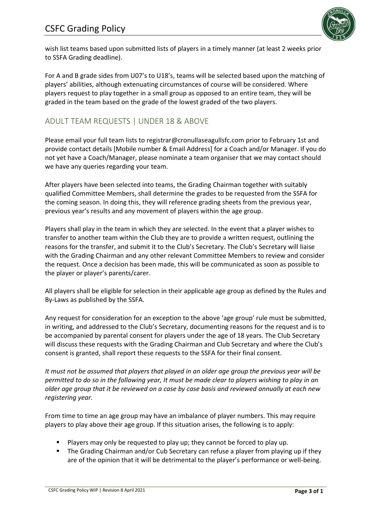

wish list teams based upon submitted lists of players in a timely manner (at least 2 weeks prior to SSFA Grading deadline).

For A and B grade sides from U07's to U18's, teams will be selected based upon the matching of players' abilities, although extenuating circumstances of course will be considered. Where players request to play together in a small group as opposed to an entire team, they will be graded in the team based on the grade of the lowest graded of the two players.

## ADULT TEAM REQUESTS | UNDER 18 & ABOVE

Please email your full team lists to registrar@cronullaseagullsfc.com prior to February 1st and provide contact details [Mobile number & Email Address] for a Coach and/or Manager. If you do not yet have a Coach/Manager, please nominate a team organiser that we may contact should we have any queries regarding your team.

After players have been selected into teams, the Grading Chairman together with suitably qualified Committee Members, shall determine the grades to be requested from the SSFA for the coming season. In doing this, they will reference grading sheets from the previous year, previous year's results and any movement of players within the age group.

Players shall play in the team in which they are selected. In the event that a player wishes to transfer to another team within the Club they are to provide a written request, outlining the reasons for the transfer, and submit it to the Club's Secretary. The Club's Secretary will liaise with the Grading Chairman and any other relevant Committee Members to review and consider the request. Once a decision has been made, this will be communicated as soon as possible to the player or player's parents/carer.

All players shall be eligible for selection in their applicable age group as defined by the Rules and By-Laws as published by the SSFA.

Any request for consideration for an exception to the above 'age group' rule must be submitted, in writing, and addressed to the Club's Secretary, documenting reasons for the request and is to be accompanied by parental consent for players under the age of 18 years. The Club Secretary will discuss these requests with the Grading Chairman and Club Secretary and where the Club's consent is granted, shall report these requests to the SSFA for their final consent.

*It must not be assumed that players that played in an older age group the previous year will be permitted to do so in the following year, It must be made clear to players wishing to play in an older age group that it be reviewed on a case by case basis and reviewed annually at each new registering year.*

From time to time an age group may have an imbalance of player numbers. This may require players to play above their age group. If this situation arises, the following is to apply:

- Players may only be requested to play up; they cannot be forced to play up.
- The Grading Chairman and/or Cub Secretary can refuse a player from playing up if they are of the opinion that it will be detrimental to the player's performance or well-being.